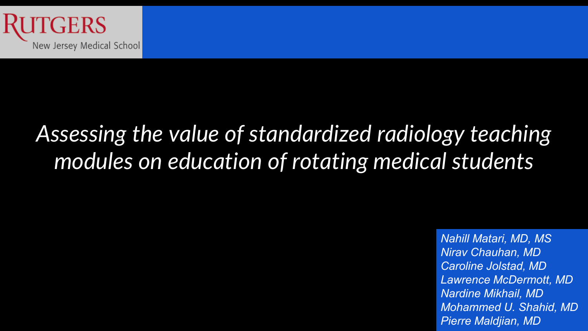

# *Assessing the value of standardized radiology teaching modules on education of rotating medical students*

*Nahill Matari, MD, MS Nirav Chauhan, MD Caroline Jolstad, MD Lawrence McDermott, MD Nardine Mikhail, MD Mohammed U. Shahid, MD Pierre Maldjian, MD*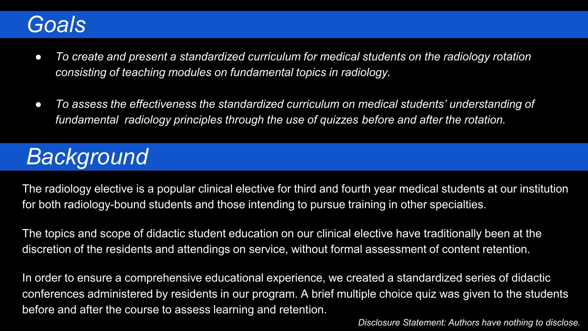# *Goals*

- *To create and present a standardized curriculum for medical students on the radiology rotation consisting of teaching modules on fundamental topics in radiology.*
- *To assess the effectiveness the standardized curriculum on medical students' understanding of fundamental radiology principles through the use of quizzes before and after the rotation.*

# *Background*

The radiology elective is a popular clinical elective for third and fourth year medical students at our institution for both radiology-bound students and those intending to pursue training in other specialties.

The topics and scope of didactic student education on our clinical elective have traditionally been at the discretion of the residents and attendings on service, without formal assessment of content retention.

In order to ensure a comprehensive educational experience, we created a standardized series of didactic conferences administered by residents in our program. A brief multiple choice quiz was given to the students before and after the course to assess learning and retention.

*Disclosure Statement: Authors have nothing to disclose.*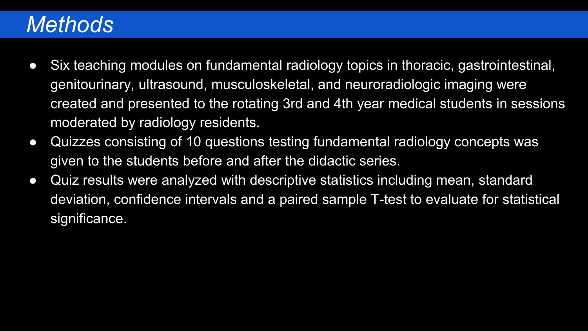# *Methods*

- Six teaching modules on fundamental radiology topics in thoracic, gastrointestinal, genitourinary, ultrasound, musculoskeletal, and neuroradiologic imaging were created and presented to the rotating 3rd and 4th year medical students in sessions moderated by radiology residents.
- Quizzes consisting of 10 questions testing fundamental radiology concepts was given to the students before and after the didactic series.
- Quiz results were analyzed with descriptive statistics including mean, standard deviation, confidence intervals and a paired sample T-test to evaluate for statistical significance.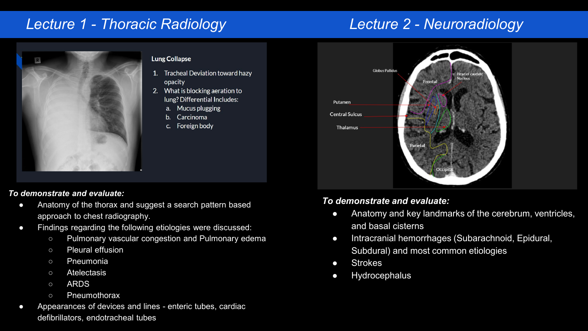# *Lecture 1 - Thoracic Radiology*

# *Lecture 2 - Neuroradiology*



### **Lung Collapse**

- 1. Tracheal Deviation toward hazy opacity
- 2. What is blocking aeration to lung? Differential Includes:
	- a. Mucus plugging
	- Carcinoma
	- c. Foreign body

### *To demonstrate and evaluate:*

- Anatomy of the thorax and suggest a search pattern based approach to chest radiography.
- Findings regarding the following etiologies were discussed:
	- Pulmonary vascular congestion and Pulmonary edema
	- Pleural effusion
	- Pneumonia
	- Atelectasis
	- ARDS
	- Pneumothorax
- Appearances of devices and lines enteric tubes, cardiac defibrillators, endotracheal tubes



## *To demonstrate and evaluate:*

- Anatomy and key landmarks of the cerebrum, ventricles, and basal cisterns
- Intracranial hemorrhages (Subarachnoid, Epidural, Subdural) and most common etiologies
- Strokes
- Hydrocephalus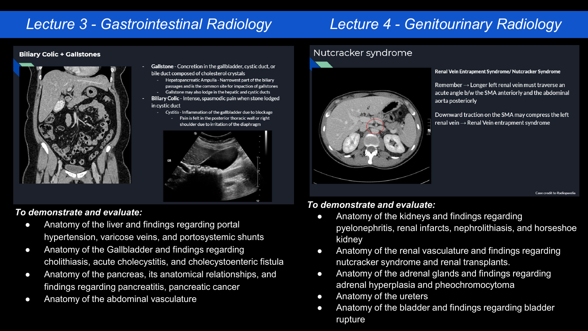## *Lecture 3 - Gastrointestinal Radiology Lecture 4 - Genitourinary Radiology*

### **Biliary Colic + Gallstones**



- Gallstone Concretion in the gallbladder, cystic duct, or bile duct composed of cholesterol crystals
	- Hepatopancreatic Ampulla Narrowest part of the biliary passages and is the common site for impaction of gallstones Gallstone may also lodge in the hepatic and cystic ducts
- Biliary Colic Intense, spasmodic pain when stone lodged in cystic duct
	- Cystitis Inflammation of the gallbladder due to blockage
		- Pain is felt in the posterior thoracic wall or right shoulder due to irritation of the diaphragm



### *To demonstrate and evaluate:*

- Anatomy of the liver and findings regarding portal hypertension, varicose veins, and portosystemic shunts
- Anatomy of the Gallbladder and findings regarding cholithiasis, acute cholecystitis, and cholecystoenteric fistula
- Anatomy of the pancreas, its anatomical relationships, and findings regarding pancreatitis, pancreatic cancer
- **Anatomy of the abdominal vasculature**

### Nutcracker syndrome



#### Renal Vein Entrapment Syndrome/Nutcracker Syndrome

Remember  $\rightarrow$  Longer left renal vein must traverse an acute angle b/w the SMA anteriorly and the abdominal aorta posteriorly

Downward traction on the SMA may compress the left  $real$  vein  $\rightarrow$  Renal Vein entrapment syndrome

Case credit to Radiopaedia

### *To demonstrate and evaluate:*

- Anatomy of the kidneys and findings regarding pyelonephritis, renal infarcts, nephrolithiasis, and horseshoe kidney
- Anatomy of the renal vasculature and findings regarding nutcracker syndrome and renal transplants.
- Anatomy of the adrenal glands and findings regarding adrenal hyperplasia and pheochromocytoma
- Anatomy of the ureters
- Anatomy of the bladder and findings regarding bladder rupture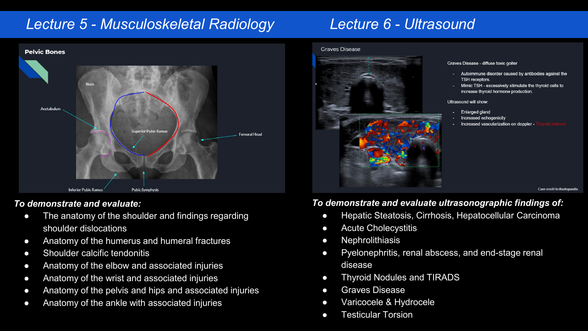## *Lecture 5 - Musculoskeletal Radiology Lecture 6 - Ultrasound*



### *To demonstrate and evaluate:*

- The anatomy of the shoulder and findings regarding shoulder dislocations
- Anatomy of the humerus and humeral fractures
- Shoulder calcific tendonitis
- Anatomy of the elbow and associated injuries
- Anatomy of the wrist and associated injuries
- Anatomy of the pelvis and hips and associated injuries
- Anatomy of the ankle with associated injuries

#### **Graves Disease**



#### Graves Disease - diffuse toxic goiter

- Autoimmune disorder caused by antibodies against the TSH receptors.
- Mimic TSH excessively stimulate the thyroid cells to increase thyroid hormone production.

#### Ultrasound will show:

- **Enlarged gland**
- Increased echogenicity
- Increased vascularization on doppler -

Case credit to Radionaedia

## *To demonstrate and evaluate ultrasonographic findings of:*

- Hepatic Steatosis, Cirrhosis, Hepatocellular Carcinoma
- Acute Cholecystitis
- Nephrolithiasis
- Pyelonephritis, renal abscess, and end-stage renal disease
- Thyroid Nodules and TIRADS
- Graves Disease
- Varicocele & Hydrocele
- Testicular Torsion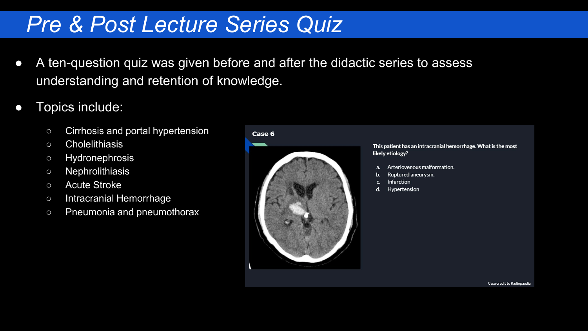# *Pre & Post Lecture Series Quiz*

- A ten-question quiz was given before and after the didactic series to assess understanding and retention of knowledge.
- Topics include:
	- Cirrhosis and portal hypertension
	- Cholelithiasis
	- Hydronephrosis
	- Nephrolithiasis
	- Acute Stroke
	- Intracranial Hemorrhage
	- Pneumonia and pneumothorax

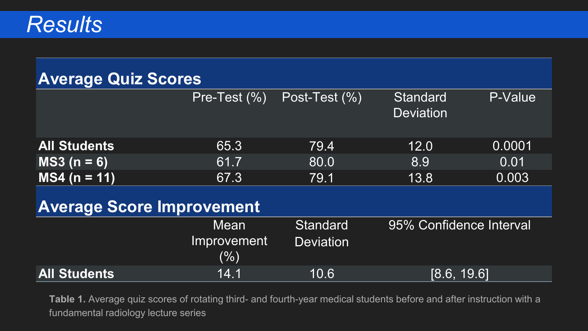| <b>Average Quiz Scores</b>       |                            |                  |                              |                         |  |
|----------------------------------|----------------------------|------------------|------------------------------|-------------------------|--|
|                                  |                            |                  |                              |                         |  |
|                                  | Pre-Test (%)               | Post-Test (%)    | Standard<br><b>Deviation</b> | P-Value                 |  |
| <b>All Students</b>              | 65.3                       | 79.4             | 12.0                         | 0.0001                  |  |
| $MS3 (n = 6)$                    | 61.7                       | 80.0             | 8.9                          | 0.01                    |  |
| $MS4 (n = 11)$                   | 67.3                       | 79.1             | 13.8                         | 0.003                   |  |
| <b>Average Score Improvement</b> |                            |                  |                              |                         |  |
|                                  | Mean                       | <b>Standard</b>  |                              | 95% Confidence Interval |  |
|                                  | <b>Improvement</b><br>(% ) | <b>Deviation</b> |                              |                         |  |

**All Students** 14.1 10.6 [8.6, 19.6]

**Table 1.** Average quiz scores of rotating third- and fourth-year medical students before and after instruction with a fundamental radiology lecture series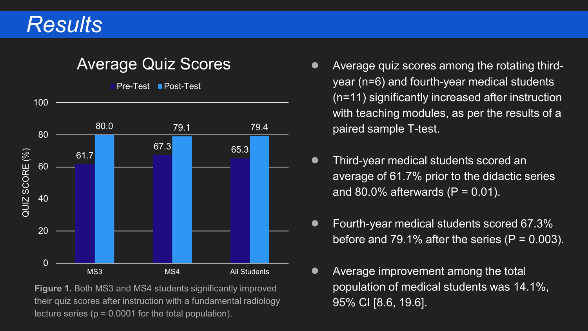# *Results*



**Figure 1.** Both MS3 and MS4 students significantly improved their quiz scores after instruction with a fundamental radiology lecture series ( $p = 0.0001$  for the total population).

- Average quiz scores among the rotating thirdyear (n=6) and fourth-year medical students (n=11) significantly increased after instruction with teaching modules, as per the results of a paired sample T-test.
- Third-year medical students scored an average of 61.7% prior to the didactic series and 80.0% afterwards  $(P = 0.01)$ .
- Fourth-year medical students scored 67.3% before and 79.1% after the series  $(P = 0.003)$ .
- Average improvement among the total population of medical students was 14.1%, 95% CI [8.6, 19.6].